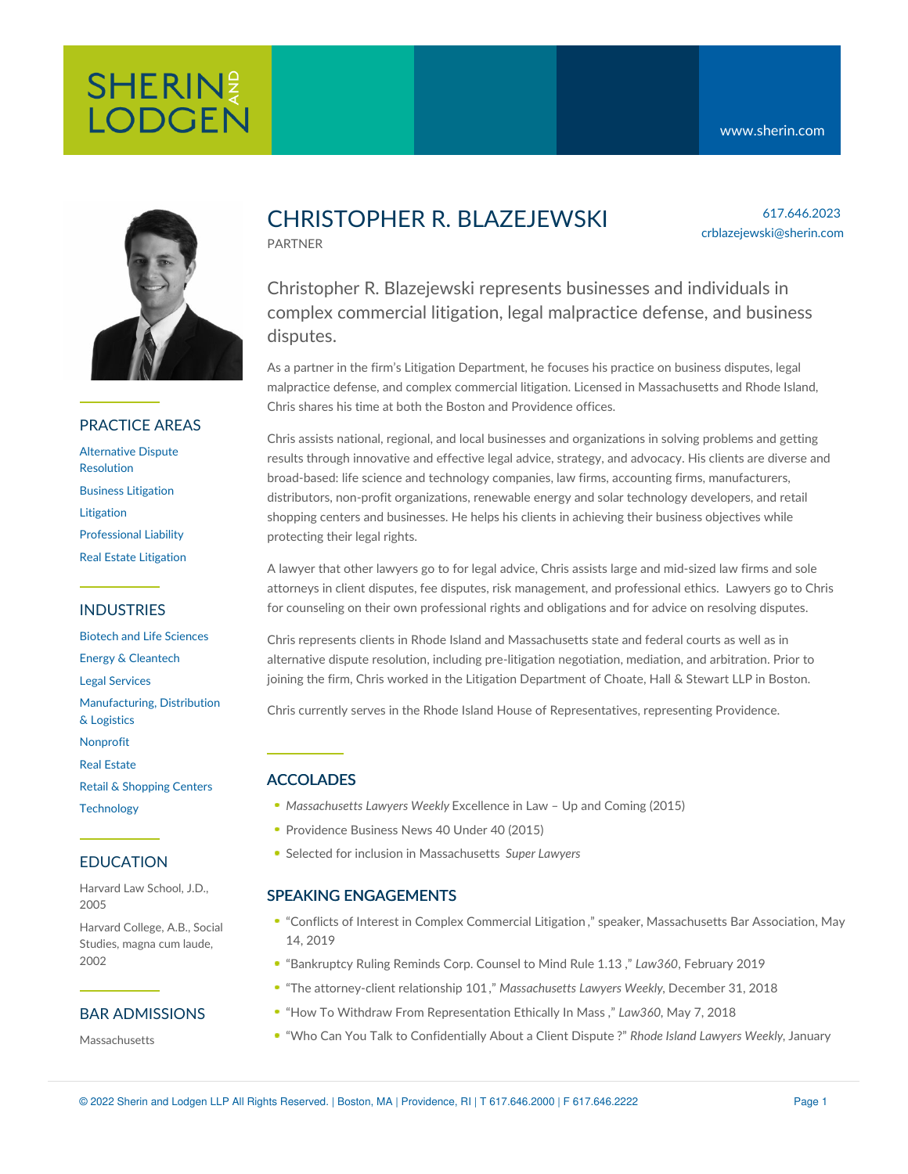# SHERINE **LODGEN**



### PRACTICE AREAS

[Alternative](https://www.sherin.com/practice-areas/litigation/alternative-dispute-resolution/) Dispute Resolution Business [Litigation](https://www.sherin.com/practice-areas/litigation/business-litigation/) [Litigation](https://www.sherin.com/practice-areas/litigation/) [Professional](https://www.sherin.com/practice-areas/litigation/professional-liability/) Liability Real Estate [Litigation](https://www.sherin.com/practice-areas/litigation/real-estate-litigation/)

#### INDUSTRIES

Biotech and Life [Sciences](https://www.sherin.com/industries/biotech-and-life-sciences/) Energy & [Cleantech](https://www.sherin.com/industries/energy-and-cleantech/) Legal [Services](https://www.sherin.com/industries/legal-services/) [Manufacturing,](https://www.sherin.com/industries/manufacturing-distribution-and-logistics/) Distribution & Logistics [Nonprofit](https://www.sherin.com/industries/nonprofit/) Real [Estate](https://www.sherin.com/industries/real-estate/) Retail & [Shopping](https://www.sherin.com/industries/retail-shopping-centers/) Centers **[Technology](https://www.sherin.com/industries/technology/)** 

#### EDUCATION

Harvard Law School, J.D., 2005

Harvard College, A.B., Social Studies, magna cum laude, 2002

#### BAR ADMISSIONS

**Massachusetts** 

## CHRISTOPHER R. BLAZEJEWSKI PARTNER

617.646.2023 crblazejewski@sherin.com

Christopher R. Blazejewski represents businesses and individuals in complex commercial litigation, legal malpractice defense, and business disputes.

As a partner in the firm's Litigation Department, he focuses his practice on business disputes, legal malpractice defense, and complex commercial litigation. Licensed in Massachusetts and Rhode Island, Chris shares his time at both the Boston and Providence offices.

Chris assists national, regional, and local businesses and organizations in solving problems and getting results through innovative and effective legal advice, strategy, and advocacy. His clients are diverse and broad-based: life science and technology companies, law firms, accounting firms, manufacturers, distributors, non-profit organizations, renewable energy and solar technology developers, and retail shopping centers and businesses. He helps his clients in achieving their business objectives while protecting their legal rights.

A lawyer that other lawyers go to for legal advice, Chris assists large and mid-sized law firms and sole attorneys in client disputes, fee disputes, risk management, and professional ethics. Lawyers go to Chris for counseling on their own professional rights and obligations and for advice on resolving disputes.

Chris represents clients in Rhode Island and Massachusetts state and federal courts as well as in alternative dispute resolution, including pre-litigation negotiation, mediation, and arbitration. Prior to joining the firm, Chris worked in the Litigation Department of Choate, Hall & Stewart LLP in Boston.

Chris currently serves in the Rhode Island House of Representatives, representing Providence.

### ACCOLADES

- *Massachusetts Lawyers Weekly* Excellence in Law Up and Coming (2015)
- Providence Business News 40 Under 40 (2015)
- Selected for inclusion in Massachusetts *Super Lawyers*

#### SPEAKING ENGAGEMENTS

- "Conflicts of Interest in Complex [Commercial](https://www.sherin.com/firm-news/sherin-and-lodgen-partners-jessica-g-kelly-and-christopher-r-blazejewski-present-at-mba-cle-program-on-complex-commercial-litigation/) Litigation ," speaker, Massachusetts Bar Association, May 14, 2019
- "[Bankruptcy](https://www.sherin.com/wp-content/uploads/2019/02/Bankruptcy-Ruling-Reminds-Corp.-Counsel-To-Mind-Rule-1.13-updated.pdf) Ruling Reminds Corp. Counsel to Mind Rule 1.13 ," *Law360*, February 2019
- "The [attorney-client](https://www.sherin.com/wp-content/uploads/2015/05/MLW-CRB-and-JGK-atty-client-relationship-1.pdf) relationship 101," *Massachusetts Lawyers Weekly,* December 31, 2018
- "How To Withdraw From [Representation](https://www.sherin.com/wp-content/uploads/2018/05/How-To-Withdraw-From-Representation-Ethically-In-Mass..pdf) Ethically In Mass ," *Law360,* May 7, 2018
- "Who Can You Talk to [Confidentially](https://www.sherin.com/wp-content/uploads/2018/03/RILW-CRB.pdf) About a Client Dispute ?" *Rhode Island Lawyers Weekly,* January